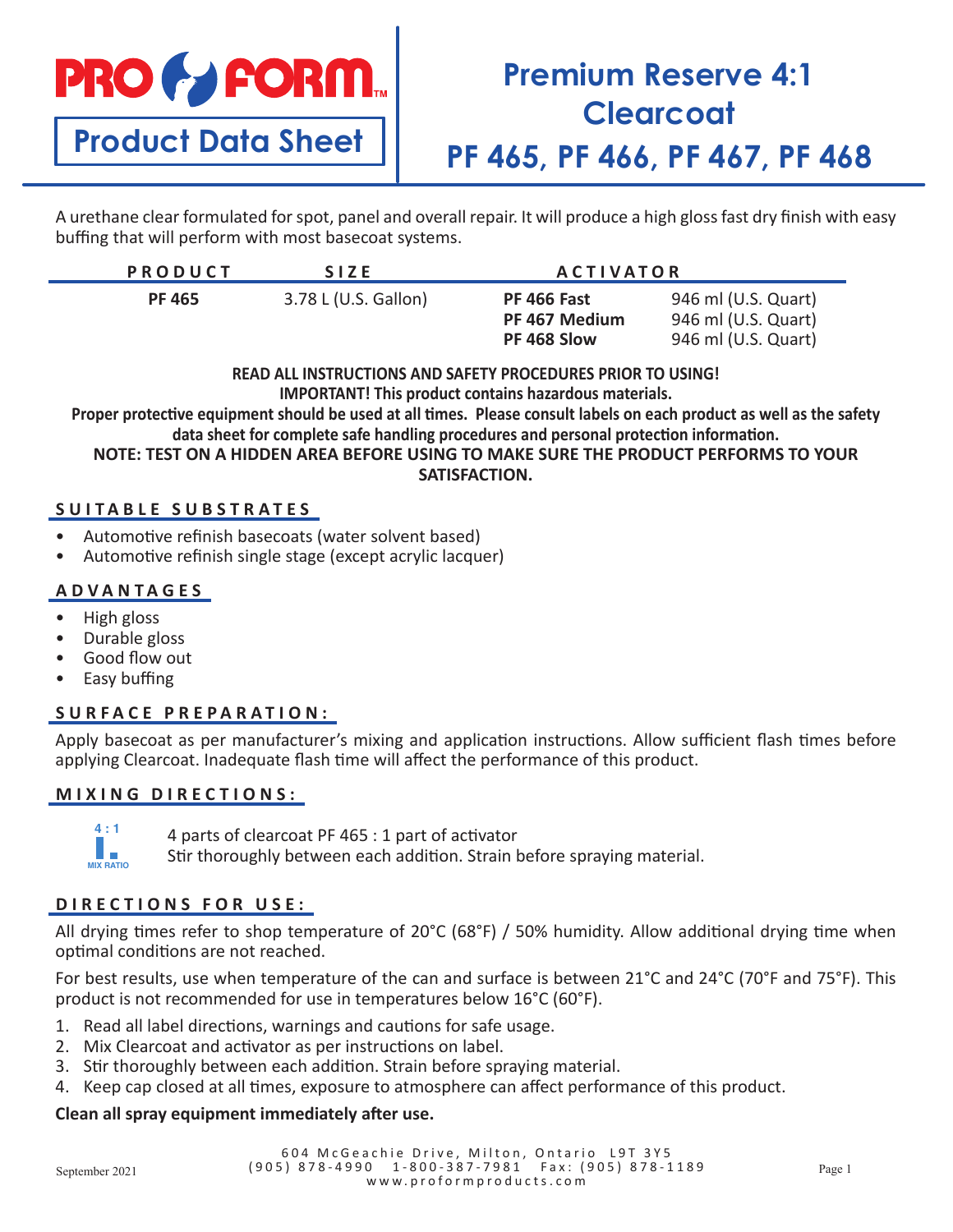# **PRO & FORM.**

**Product Data Sheet**

## **Premium Reserve 4:1 Clearcoat PF 465, PF 466, PF 467, PF 468**

A urethane clear formulated for spot, panel and overall repair. It will produce a high gloss fast dry finish with easy buffing that will perform with most basecoat systems.

| <b>PRODUCT</b> | <b>SIZE</b>          | <b>ACTIVATOR</b>                            |                                                                   |
|----------------|----------------------|---------------------------------------------|-------------------------------------------------------------------|
| <b>PF 465</b>  | 3.78 L (U.S. Gallon) | PF 466 Fast<br>PF 467 Medium<br>PF 468 Slow | 946 ml (U.S. Quart)<br>946 ml (U.S. Quart)<br>946 ml (U.S. Quart) |

**READ ALL INSTRUCTIONS AND SAFETY PROCEDURES PRIOR TO USING!**

**IMPORTANT! This product contains hazardous materials.**

**Proper protective equipment should be used at all times. Please consult labels on each product as well as the safety data sheet for complete safe handling procedures and personal protection information.**

**NOTE: TEST ON A HIDDEN AREA BEFORE USING TO MAKE SURE THE PRODUCT PERFORMS TO YOUR SATISFACTION.**

#### **SUITABLE SUBSTRATES**

- Automotive refinish basecoats (water solvent based)
- Automotive refinish single stage (except acrylic lacquer)

#### **ADVANTAGES**

- High gloss
- Durable gloss
- Good flow out
- Easy buffing

**MIX RATIO 4 : 1**

#### **SURFACE PREPARATION:**

Apply basecoat as per manufacturer's mixing and application instructions. Allow sufficient flash times before applying Clearcoat. Inadequate flash time will affect the performance of this product.

#### **MIXING DIRECTIONS:**

4 parts of clearcoat PF 465 : 1 part of activator

Stir thoroughly between each addition. Strain before spraying material.

#### **DIRECTIONS FOR USE:**

All drying times refer to shop temperature of 20°C (68°F) / 50% humidity. Allow additional drying time when optimal conditions are not reached.

For best results, use when temperature of the can and surface is between 21°C and 24°C (70°F and 75°F). This product is not recommended for use in temperatures below 16°C (60°F).

- 1. Read all label directions, warnings and cautions for safe usage.
- 2. Mix Clearcoat and activator as per instructions on label.
- 3. Stir thoroughly between each addition. Strain before spraying material.
- 4. Keep cap closed at all times, exposure to atmosphere can affect performance of this product.

#### **Clean all spray equipment immediately after use.**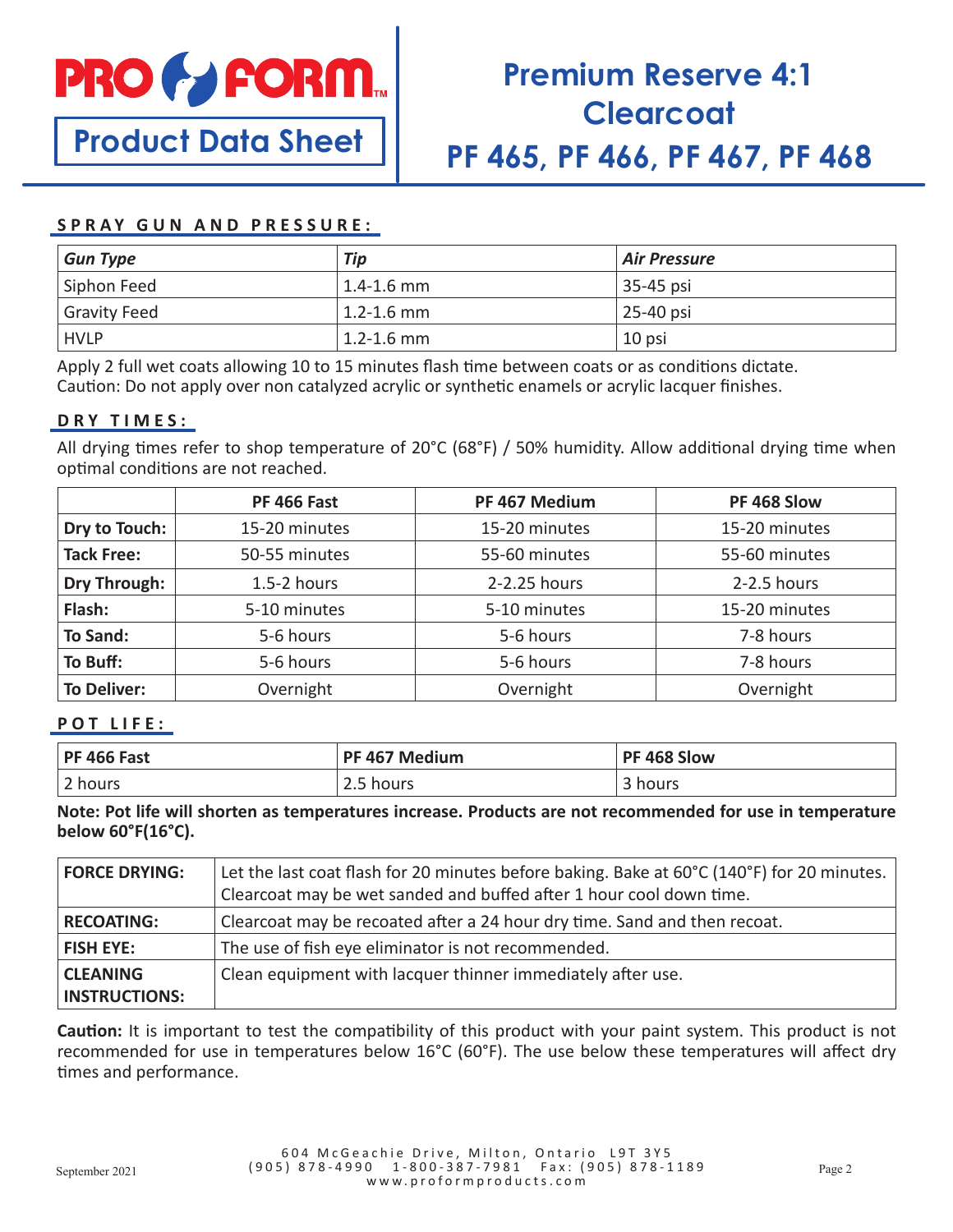

**Product Data Sheet**

## **Premium Reserve 4:1 Clearcoat PF 465, PF 466, PF 467, PF 468**

#### **SPRAY GUN AND PRESSURE:**

| <b>Gun Type</b>     | Tip                        | Air Pressure |
|---------------------|----------------------------|--------------|
| Siphon Feed         | $\vert$ 1.4-1.6 mm $\vert$ | 35-45 psi    |
| <b>Gravity Feed</b> | $\vert$ 1.2-1.6 mm         | 25-40 psi    |
| <b>HVLP</b>         | $\vert$ 1.2-1.6 mm         | 10 psi       |

Apply 2 full wet coats allowing 10 to 15 minutes flash time between coats or as conditions dictate. Caution: Do not apply over non catalyzed acrylic or synthetic enamels or acrylic lacquer finishes.

#### **DRY TIMES:**

All drying times refer to shop temperature of 20°C (68°F) / 50% humidity. Allow additional drying time when optimal conditions are not reached.

|                     | <b>PF 466 Fast</b> | PF 467 Medium | PF 468 Slow   |
|---------------------|--------------------|---------------|---------------|
| Dry to Touch:       | 15-20 minutes      | 15-20 minutes | 15-20 minutes |
| <b>Tack Free:</b>   | 50-55 minutes      | 55-60 minutes | 55-60 minutes |
| <b>Dry Through:</b> | $1.5-2$ hours      | 2-2.25 hours  | 2-2.5 hours   |
| Flash:              | 5-10 minutes       | 5-10 minutes  | 15-20 minutes |
| <b>To Sand:</b>     | 5-6 hours          | 5-6 hours     | 7-8 hours     |
| To Buff:            | 5-6 hours          | 5-6 hours     | 7-8 hours     |
| <b>To Deliver:</b>  | Overnight          | Overnight     | Overnight     |

#### **POT LIFE:**

| <b>PF 466 Fast</b> | PF 467 Medium | PF 468 Slow        |
|--------------------|---------------|--------------------|
| 2 hours            | 2.5 hours     | hours <sub>.</sub> |

**Note: Pot life will shorten as temperatures increase. Products are not recommended for use in temperature below 60°F(16°C).**

| <b>FORCE DRYING:</b> | Let the last coat flash for 20 minutes before baking. Bake at 60°C (140°F) for 20 minutes.<br>Clearcoat may be wet sanded and buffed after 1 hour cool down time. |
|----------------------|-------------------------------------------------------------------------------------------------------------------------------------------------------------------|
| <b>RECOATING:</b>    | Clearcoat may be recoated after a 24 hour dry time. Sand and then recoat.                                                                                         |
| <b>FISH EYE:</b>     | The use of fish eye eliminator is not recommended.                                                                                                                |
| <b>CLEANING</b>      | Clean equipment with lacquer thinner immediately after use.                                                                                                       |
| <b>INSTRUCTIONS:</b> |                                                                                                                                                                   |

**Caution:** It is important to test the compatibility of this product with your paint system. This product is not recommended for use in temperatures below 16°C (60°F). The use below these temperatures will affect dry times and performance.